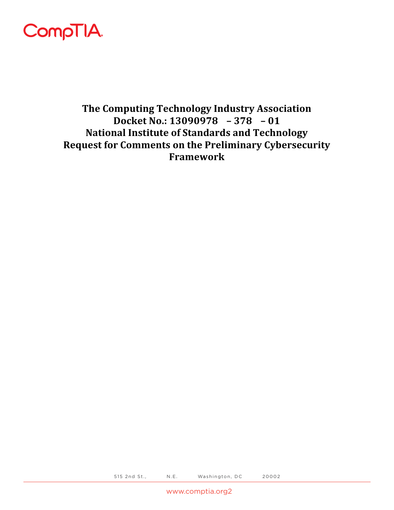

The Computing Technology Industry Association Docket No.:  $13090978 - 378 - 01$ **National Institute of Standards and Technology Request for Comments on the Preliminary Cybersecurity Framework**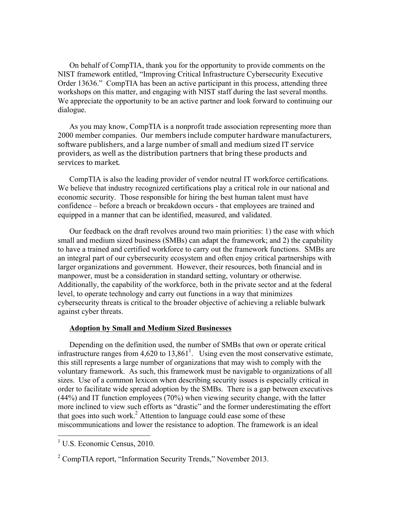On behalf of CompTIA, thank you for the opportunity to provide comments on the Order 13636." CompTIA has been an active participant in this process, attending three NIST framework entitled, "Improving Critical Infrastructure Cybersecurity Executive workshops on this matter, and engaging with NIST staff during the last several months. We appreciate the opportunity to be an active partner and look forward to continuing our dialogue.

As you may know, CompTIA is a nonprofit trade association representing more than 2000 member companies. Our members include computer hardware manufacturers, software publishers, and a large number of small and medium sized IT service providers, as well as the distribution partners that bring these products and services to market.

 confidence – before a breach or breakdown occurs - that employees are trained and CompTIA is also the leading provider of vendor neutral IT workforce certifications. We believe that industry recognized certifications play a critical role in our national and economic security. Those responsible for hiring the best human talent must have equipped in a manner that can be identified, measured, and validated.

 larger organizations and government. However, their resources, both financial and in Our feedback on the draft revolves around two main priorities: 1) the ease with which small and medium sized business (SMBs) can adapt the framework; and 2) the capability to have a trained and certified workforce to carry out the framework functions. SMBs are an integral part of our cybersecurity ecosystem and often enjoy critical partnerships with manpower, must be a consideration in standard setting, voluntary or otherwise. Additionally, the capability of the workforce, both in the private sector and at the federal level, to operate technology and carry out functions in a way that minimizes cybersecurity threats is critical to the broader objective of achieving a reliable bulwark against cyber threats.

## **Adoption by Small and Medium Sized Businesses**

 this still represents a large number of organizations that may wish to comply with the order to facilitate wide spread adoption by the SMBs. There is a gap between executives Depending on the definition used, the number of SMBs that own or operate critical infrastructure ranges from  $4,620$  to  $13,861<sup>1</sup>$ . Using even the most conservative estimate, voluntary framework. As such, this framework must be navigable to organizations of all sizes. Use of a common lexicon when describing security issues is especially critical in (44%) and IT function employees (70%) when viewing security change, with the latter more inclined to view such efforts as "drastic" and the former underestimating the effort that goes into such work.<sup>2</sup> Attention to language could ease some of these miscommunications and lower the resistance to adoption. The framework is an ideal

 $1$  U.S. Economic Census, 2010.

 $2^{\circ}$  CompTIA report, "Information Security Trends," November 2013.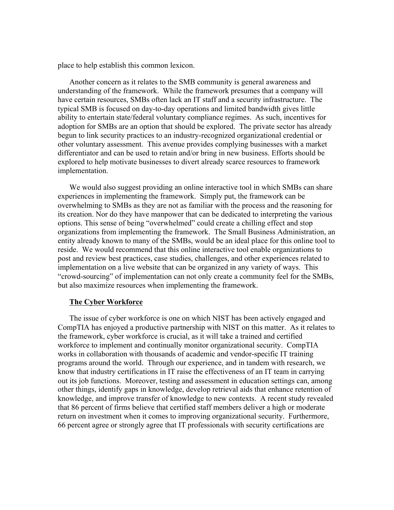place to help establish this common lexicon.

 adoption for SMBs are an option that should be explored. The private sector has already other voluntary assessment. This avenue provides complying businesses with a market Another concern as it relates to the SMB community is general awareness and understanding of the framework. While the framework presumes that a company will have certain resources, SMBs often lack an IT staff and a security infrastructure. The typical SMB is focused on day-to-day operations and limited bandwidth gives little ability to entertain state/federal voluntary compliance regimes. As such, incentives for begun to link security practices to an industry-recognized organizational credential or differentiator and can be used to retain and/or bring in new business. Efforts should be explored to help motivate businesses to divert already scarce resources to framework implementation.

 entity already known to many of the SMBs, would be an ideal place for this online tool to but also maximize resources when implementing the framework. We would also suggest providing an online interactive tool in which SMBs can share experiences in implementing the framework. Simply put, the framework can be overwhelming to SMBs as they are not as familiar with the process and the reasoning for its creation. Nor do they have manpower that can be dedicated to interpreting the various options. This sense of being "overwhelmed" could create a chilling effect and stop organizations from implementing the framework. The Small Business Administration, an reside. We would recommend that this online interactive tool enable organizations to post and review best practices, case studies, challenges, and other experiences related to implementation on a live website that can be organized in any variety of ways. This "crowd-sourcing" of implementation can not only create a community feel for the SMBs,

## **The Cyber Workforce**

 CompTIA has enjoyed a productive partnership with NIST on this matter. As it relates to the framework, cyber workforce is crucial, as it will take a trained and certified The issue of cyber workforce is one on which NIST has been actively engaged and workforce to implement and continually monitor organizational security. CompTIA works in collaboration with thousands of academic and vendor-specific IT training programs around the world. Through our experience, and in tandem with research, we know that industry certifications in IT raise the effectiveness of an IT team in carrying out its job functions. Moreover, testing and assessment in education settings can, among other things, identify gaps in knowledge, develop retrieval aids that enhance retention of knowledge, and improve transfer of knowledge to new contexts. A recent study revealed that 86 percent of firms believe that certified staff members deliver a high or moderate return on investment when it comes to improving organizational security. Furthermore, 66 percent agree or strongly agree that IT professionals with security certifications are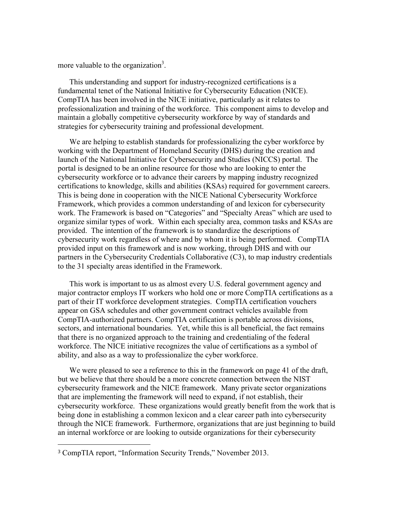more valuable to the organization<sup>3</sup>.

 fundamental tenet of the National Initiative for Cybersecurity Education (NICE). maintain a globally competitive cybersecurity workforce by way of standards and This understanding and support for industry-recognized certifications is a CompTIA has been involved in the NICE initiative, particularly as it relates to professionalization and training of the workforce. This component aims to develop and strategies for cybersecurity training and professional development.

 Framework, which provides a common understanding of and lexicon for cybersecurity cybersecurity work regardless of where and by whom it is being performed. CompTIA We are helping to establish standards for professionalizing the cyber workforce by working with the Department of Homeland Security (DHS) during the creation and launch of the National Initiative for Cybersecurity and Studies (NICCS) portal. The portal is designed to be an online resource for those who are looking to enter the cybersecurity workforce or to advance their careers by mapping industry recognized certifications to knowledge, skills and abilities (KSAs) required for government careers. This is being done in cooperation with the NICE National Cybersecurity Workforce work. The Framework is based on "Categories" and "Specialty Areas" which are used to organize similar types of work. Within each specialty area, common tasks and KSAs are provided. The intention of the framework is to standardize the descriptions of provided input on this framework and is now working, through DHS and with our partners in the Cybersecurity Credentials Collaborative (C3), to map industry credentials to the 31 specialty areas identified in the Framework.

This work is important to us as almost every U.S. federal government agency and major contractor employs IT workers who hold one or more CompTIA certifications as a part of their IT workforce development strategies. CompTIA certification vouchers appear on GSA schedules and other government contract vehicles available from CompTIA-authorized partners. CompTIA certification is portable across divisions, sectors, and international boundaries. Yet, while this is all beneficial, the fact remains that there is no organized approach to the training and credentialing of the federal workforce. The NICE initiative recognizes the value of certifications as a symbol of ability, and also as a way to professionalize the cyber workforce.

We were pleased to see a reference to this in the framework on page 41 of the draft, but we believe that there should be a more concrete connection between the NIST cybersecurity framework and the NICE framework. Many private sector organizations that are implementing the framework will need to expand, if not establish, their cybersecurity workforce. These organizations would greatly benefit from the work that is being done in establishing a common lexicon and a clear career path into cybersecurity through the NICE framework. Furthermore, organizations that are just beginning to build an internal workforce or are looking to outside organizations for their cybersecurity

<sup>3</sup> CompTIA report, "Information Security Trends," November 2013.